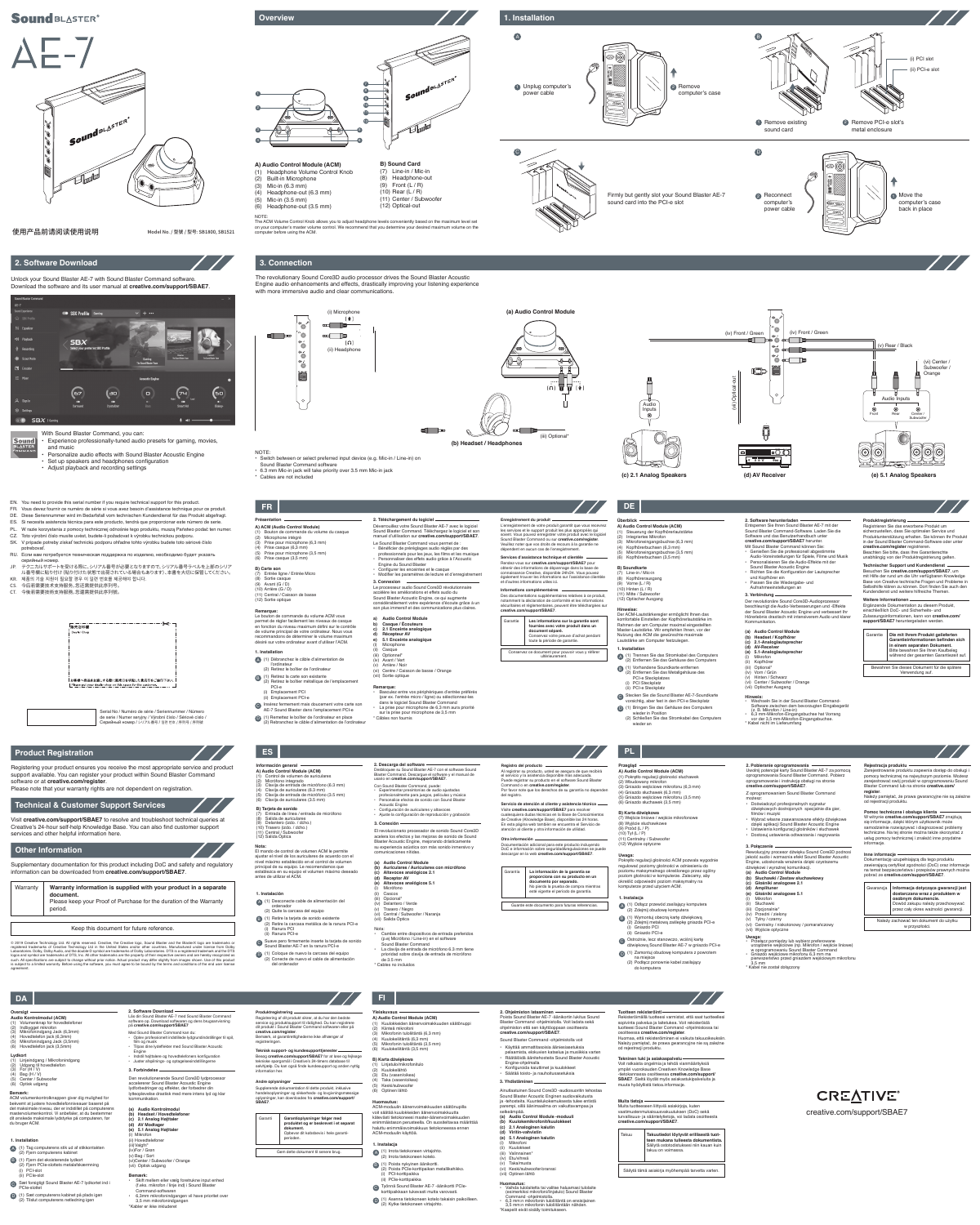## **Sound BLASTER®**

 $\Delta$  - /

(i) Microphone





Firmly but gently slot your Sound Blaster AE-7 sound card into the PCI-e slot







Model No. / 型號 / 型号: SB1800, SB1521

Sound<sub>BLASTER®</sub>

## **Product Registration**

## **Technical & Customer Support Services**

## **Other Information**

#### **Warranty information is supplied with your product in a separate document.** Please keep your Proof of Purchase for the duration of the Warranty period. Warranty

Keep this document for future reference.

© 2019 Creative Technology Ltd. All rights reserved. Creative, the Creative logo, Sound Blaster and the BlasterX logo are trademarks or registered trademarks of Creative Technology Ltd in the United States and/or other countries. Manufactured under license from Dolby<br>Laboratories. Dolby, Dolby Audio, and the double-D symbol are trademarks of Dolby Laborato logos and symbol are trademarks of DTS, Inc. All other trademarks are the property of their respective owners and are hereby recognized as<br>such. All specifications are subject to change without prior notice. Actual product agreement.



Registering your product ensures you receive the most appropriate service and product support available. You can register your product within Sound Blaster Command software or at **creative.com/register**.

Please note that your warranty rights are not dependent on registration.

Visit **creative.com/support/SBAE7** to resolve and troubleshoot technical queries at Creative's 24-hour self-help Knowledge Base. You can also find customer support services and other helpful information here.

Supplementary documentation for this product including DoC and safety and regulatory information can be downloaded from **creative.com/support/SBAE7**.

The ACM Volume Control Knob allows you to adjust headphone levels conveniently based on the maximum level set on your computer's master volume control. We recommend that you determine your desired maximum volume on the

- potrebovať. RU. Если вам потребуется техническая поддержка по изделию, необходимо будет указать
- серийный номер. JP. テクニカルサポートを受ける際に、シリアル番号が必要となりますので、シリアル番号ラベルを上部のシリア
- ル番号欄に貼り付け(貼り付けた状態で出荷されている場合もあります)、本書を大切に保管してください。 KR. 제품의 기술 지원이 필요할 경우 이 일련 번호를 제공해야 합니다.
- CS. 今后若需要技术支持服务,您还需提供此序列号。
- CT. 今後若需要技術支持服務,您還需提供此序列號。
	- —-—-—-—-—-—-—-<del>-</del>-9 「販売店印欄 Dealer Chop

computer before using the ACM.



The revolutionary Sound Core3D audio processor drives the Sound Blaster Acoustic Engine audio enhancements and effects, drastically improving your listening experience with more immersive audio and clear communications.

**(a) Audio Control Module**

## NOTE:

- Switch between or select preferred input device (e.g. Mic-in / Line-in) on
- Sound Blaster Command software
- 6.3 mm Mic-in jack will take priority over 3.5 mm Mic-in jack
- 

(vi) Center / Subwoofer / Orange

C Stecken Sie die Sound Blaster AE-7-Soundkarte vorsichtig, aber fest in den PCI-e Steckplatz (1) Bringen Sie das Gehäuse des Computers D wieder in Position (2) Schließen Sie das Stromkabel des Computers



Déverrouillez votre Sound Blaster AE-7 avec le logiciel Sound Blaster Command. Téléchargez le logiciel et son



## Unlock your Sound Blaster AE-7 with Sound Blaster Command software. Download the software and its user manual at **creative.com/support/SBAE7**.



**2. Software Download**

With Sound Blaster Command, you can:

Sound **BLASTE** 

- Experience professionally-tuned audio presets for gaming, movies, and music
- Personalize audio effects with Sound Blaster Acoustic Engine
- Set up speakers and headphones configuration
- Adjust playback and recording settings

**A) Audio Control Module (ACM)** (1) Headphone Volume Control Knob

**NOTE** 

(2) Built-in Microphone (3) Mic-in (6.3 mm) (4) Headphone-out (6.3 mm) (5) Mic-in (3.5 mm) (6) Headphone-out (3.5 mm)

1

3

2

4

5 6

> 2. Software herunterladen **Produktregistrierung** Registrieren Sie das erworbene Produkt um sicherzustellen, dass Sie optimalen Service und

**B) Sound Card** (7) Line-in / Mic-in (8) Headphone-out (9) Front  $(L/R)$ (10) Rear (L / R) (11) Center / Subwoofer (12) Optical-out

Sound BLASTER®

使用产品前请阅读使用说明



creative.com/support/SBAE7

**CREATIVE®** 



**Technischer Support und Kundendier** Besuchen Sie **creative.com/support/SBAE7**, um mit Hilfe der rund um die Uhr verfügbaren Knowledge Base von Creative technische Fragen und Probleme in Selbsthilfe klären zu können. Dort finden Sie auch den Kundendienst und weitere hilfreiche Themen.

Serial No / Numéro de série / Seriennummer / Número de serie / Numer seryjny / Výrobní číslo / Sériové císlo / Серийный номер / シリアル番号 / 일련 번호 / 序列号 / 序列號



**B) Soundkarte** (7) Line-in / Mic-in (8) Kopfhörerausgang (9) Vorne (L / R)  $(10)$  Hinten  $(1 / R)$ 

EN. You need to provide this serial number if you require technical support for this product. FR. Vous devez fournir ce numéro de série si vous avez besoin d'assistance technique pour ce produit. DE. Diese Seriennummer wird im Bedarfsfall vom technischen Kundendienst für das Produkt abgefragt. ES. Si necesita asistencia técnica para este producto, tendrá que proporcionar este número de serie. PL. W razie korzystania z pomocy technicznej odnośnie tego produktu, muszą Państwo podać ten numer. CZ. Toto výrobní číslo musíte uvést, budete-li požadovat k výrobku technickou podporu. SK. V prípade potreby získať technickú podporu ohľadne tohto výrobku budete toto sériové číslo

> accélère les améliorations et effets audio du Sound Blaster Acoustic Engine, ce qui augmente considérablement votre expérience d'écoute grâce à un son plus immersif et des communications plus claires.

**b) Casque / Écouteurs c) 2.1 Enceinte analogique d) Récepteur AV e) 5.1 Enceinte analogique Microphone** 

> (ii) Casque (iii) Optionnel<sup>\*</sup> (iv) Avant / Vert (v) Arrière / Noir

• Basculez entre vos périphériques d'entrée préférés (par ex. l'entrée micro / ligne) ou sélectionnez-les dans le logiciel Sound Blaster Command • La prise pour microphone de 6,3 mm aura priorité sur la prise pour microphone de 3,5 mm

beschleunigt die Audio-Verbesserungen und -Effekte der Sound Blaster Acoustic Engine und verbessert Ihr Hörerlebnis drastisch mit inte

Inikation **(a) Audio Control Module (b) Headset / Kopfhörer (c) 2.1-Analoglautsprecher**

(ii) Kopfhörer (iii) Optional\* (iv) Vorn / Grün Hinten / Schwarz

## **1. Installation** (1) Débranchez le câble d'alimentation de A l'ordinateur (2) Retirez le boîtier de l'ordinateur B (1) Retirez la carte son existante (2) Retirez le boîtier métallique de l'emplacement PCI-e (i) Emplacement PCI

- (vii) Optischer Ausgang
- Hinweis:<br>
 Wechseln Sie in der Sound Blaster Command-<br>
Software zwischen dem bevorzugten Eingabegerät<br>
2. E. Mikrofon / Line-in)<br>
 C. B. Mikrofon / Line-in)<br>
 Order 3,5 mm-Mikrofon-Eingangsbuchse hat Vorrang<br>
 Vor der

(ii) Emplacement PCI-e Insérez fermement mais doucement votre carte son AE-7 Sound Blaster dans l'emplacement PCI-e C

D (1) Remettez le boîtier de l'ordinateur en place<br>(2) Rebranchez le câble d'alimentation de l'ordinateur

**1. Installation**

 $(11)$  Mitte / Subwoof

**Services d'assistance technique et clientèle** Rendez-vous sur **creative.com/support/SBAE7** pour<br>obtenir des informations de dépannage dans la base de<br>connaissance Creative, disponible 24h/24. Vous pouvez

(2) Entfernen Sie das Gehäuse des Computers

(1) Vorhandene Soundkarte entfernen B (2) Entfernen Sie das Metallgehäuse des

PCI-e Steckplatzes (i) PCI Steckplatz (ii) PCI-e Steckplatz

Conservez ce document pour pouvoir vous y référe ultérieurement.

wieder an

## **Hinweise:**<br>Der ACM-Lautstärkeregler ermöglicht Ihnen das<br>komfortable Einstellen der Kopfhörerlautstärke im<br>Rahmen der am Computer maximal eingestellten Master-Lautstärke. Wir empfehlen Ihnen, vor der Nutzung des ACM die gewünschte maximale Lautstärke am Computer festzulegen.

<sup>2</sup>) Conecte de nuevo el cable de alin del ordenador

• Experimentar presintonías de audio ajustadas profesionalmente para juegos, películas y música Personalice efectos de sonido con Sound Blaste

## Entsperren Sie Ihren Sound Blaster AE-7 mit der Sound Blaster Command-Software. Laden Sie die Software und das Benutzerhandbuch unter **creative.com/support/SBAE7** herunter. Mit Sound Blaster Command können Sie: • Genießen Sie die professionell abgestimmte

Audio-Voreinstellungen für Spiele, Filme und Musik • Personalisieren Sie die Audio-Effekte mit der Sound Blaster Acoustic Engine • Richten Sie die Konfiguration der Lautsprecher und Kopfhörer ein • Passen Sie die Wiedergabe- und Aufnahmeeinstellungen an

**(e) Altavoces analógicos 5.1** Micrófono

Bewahren Sie dieses Dokument für die spätere Verwendung auf.

**Nota** Cambie entre dispositivos de entrada preferidos (p.ej Micrófono / Line-in) en el software

**Registro del producto** Al registrar su producto, usted se asegura de que recibirá el servicio y la asistencia disponible más adecuada. Puede registrar su producto en el software Sound Blaster Command o en **creative.com/register**. Por favor note que los derechos de su garantía no dependen del registr



während der gesamten Garantiezeit auf.

Produktunterstützung erhalten. Sie können Ihr Produkt in der Sound Blaster Command-Software oder unter **creative.com/register** registrieren. Beachten Sie bitte, dass Ihre Garantierechte unabhängig von der Produktregistrierung gelten.

**Otra información** Documentación adicional para este producto incluyendo<br>DoC e información sobre seguridad&regulaciones se puede<br>descargar en la web **creative.com/support/SBAE7**.

## **Weitere Informationen** Ergänzende Dokumentation zu diesem Produkt, einschließlich DoC- und Sicherheits- und Zulassungsinformationen, kann von **creative.com/ support/SBAE7** heruntergeladen werden.

(ii) Gniazdo PCI-e C Ostrożnie, lecz stanowczo, wciśnij kartę

- manuel d'utilisation sur **creative.com/support/SBAE7**. Le Sound Blaster Command vous permet de :
- Bénéficier de préréglages audio réglés par des professionnels pour les jeux, les films et les musique • Personnaliser des effets audio grâce à l'Acoustic
- Engine du Sound Blaster • Configurer les enceintes et le casque
- Modifier les paramètres de lecture et d'enregistrement Le processeur audio Sound Core3D révolutionnaire **3. Connexion**

**A) ACM (Audio Control Module)**

- (1) Bouton de commande du volume du casque (2) Microphone intégré
- (3) Prise pour microphone (6,3 mm) (4) Prise casque (6,3 mm)
- Prise pour microphone (3,5 mm) (6) Prise casque (3,5 mm)

## **B) Carte son**

(7) Entrée ligne / Entrée Micro (8) Sortie casque (9) Avant (G / D) (10) Arrière (G / D) (11) Central / Caisson de basse (12) Sortie optique

## **A) Audio Control Module (ACM)** (1) Steuerung der Kopfhörerlautstärke (2) Integriertes Mikrofon (3) Mikrofoneingangsbuchse (6,3 mm) (4) Kopfhörerbuchsen (6,3 mm) (5) Mikrofoneingangsbuchse (3,5 mm) (6) Kopfhörerbuchsen (3,5 mm)

(12) Optischer Ausgang



**Remarque:** Le bouton de commande du volume ACM vous permet de régler facilement les niveaux de casque en fonction du niveau maximum défini sur le contrôle de volume principal de votre ordinateur. Nous vous ndons de déterminer le volume maximu désiré sur votre ordinateur avant d'utiliser l'ACM.

> Należy zachować ten dokument do użytku w przyszłości

## **a) Audio Control Module**

ŏ Audio Inputs  $\widehat{z}$  $18.688881$ \* Cables are not included **(c) 2.1 Analog Speakers (d) AV Receiver**

**Audio Kontrolmodul (ACM)** Volumenknap for hovedtelefone (vi) Centre / Caisson de basse / Orange

(vii) Sortie optique

**Remarque:**

- (1) Tag computerens stik ud af stikkontakten A (2) Fjern computerens kabinet
- (1) Fjern det eksisterende lydkort B (2) Fjern PCIe-slottets metalafskærmning (i) PCI-slot
- (ii) PCIe-slot
- Sæt forsigtigt Sound Blaster AE-7 lydkortet ind i PCIe-slottet C
- (1) Sæt computerens kabinet på plads igen D $(2)$  Tilslut computerens netledning igen

\* Câbles non fournis

• Oplev professionelt indstillede lydgrundindstillinger til spil, • Tilpas dine lydeffekter med Sound Blaster Acoustic **creative.com/register**. Bemærk, at garantirettighederne ikke afhænger af registreringen

## Der revolutionäre Sound Core3D-Audioprozessor **3. Verbindung**

**(a) Audio Kontrolmodul Headset / Hovedtelefor (c) 2.1 Analog Højttaler** (d) **AV** Modtage

(vi) Center / Subwoofer / Orange

#### (e) 5.1 Analog Højttale i) Mikrofon (ii) Hovedtelefone (iii)Valgfri\*

également trouver les informations sur l'assistance clientèle et d'autres informations utiles ici.

# **Informations complémentaires**

Des documentations supplémentaires relatives à ce produit, notamment la déclaration de conformité et les informations

## sécuritaires et réglementaires, peuvent être téléchargées sur **creative.com/support/SBAE7**. Garantie

## **Les informations sur la garantie sont fournies avec votre produit dans un document séparé.** Conservez votre preuve d'achat pendant toute la période de garantie.

(4) Clavija de auriculares (6.3 mm) (5) Clavija de entrada de micrófono (3.5 mm) (6) Clavija de auriculares (3.5 mm)

**A) Audio Control Module (ACM)** Control de volumen de auriculares Micrófono integrado (3) Clavija de entrada de micrófono (6.3 mm) **Información general**

**B) Tarjeta de sonido** (7) Entrada de línea / entrada de micrófono (8) Salida de auriculares (9) Delantero (izdo. / dcho.) Trasero (izdo. / dcho.) (11) Central / Subwoofer (12) Salida Óptica

**Présentation Überblick 2. Téléchargement du logiciel Enregistrement du produit** L'enregistrement de votre produit garantit que vous recevrez les services et le support produit les plus appropriés qui **FR DE**

soient. Vous pouvez enregistrer votre produit avec le logiciel<br>Sound Blaster Command ou sur **creative.com/register**.<br>Veuillez noter que vos droits de recours à la garantie ne dépendent en aucun cas de l'enregistremen

ordenador (2) Quite la carcasa del equipo

> **Muita tietoja**<br>Muita tuotteeseen liittyviä asiakirjoja, kuten vaatimustenmukaisuusvakuutuksen (DoC) sekä turvallisuus- ja sääntelytietoja, voi ladata osoitteesta **creative.com/support/SBAE7**.

(1) Retire la tarjeta de sonido existente B (2) Retire la carcasa metálica de la ranura PCI-e Ranura PCI (ii) Ranura PCI-e

## **1. Instalación** (1) Desconecte cable de alimentación del A

Suave pero firmemente inserte la tarjeta de sonido Sound Blaster AE-7 en la ranura PCI-e C (1) Coloque de nuevo la carcasa del equipo D

Desbloquee su Sound Blaster AE-7 con el software Sound Blaster Command. Descargue el software y el manual de usario en **creative.com/support/SBAE7**. Con Sound Blaster Command, puede: **2. Descarga del software**

**Nota:**  El mando de control de volumen ACM le permite ajustar el nivel de los auriculares de acuerdo con el nivel máximo establecido en el control de volumen principal de su equipo. Le recomendamos que establezca en su equipo el volumen máximo deseado antes de utilizar el ACM.

Acoustic Engine • Configuración de auriculares y altavoces • Ajuste la configuración de reproducción y grabación **3. Conexión**

El revolucionario procesador de sonido Sound Core3D acelera los efectos y las mejoras de sonido de Sound Blaster Acoustic Engine, mejorando drásticamente su experiencia acústica con más sonido inmersivo y comunicaciones nítidas.

## **(a) Audio Control Module**

**(b) Auriculares / Auriculares con micrófono (c) Altavoces analógicos 2.1 (d) Receptor AV**

(ii) Cascos

(iii) Opcional\* (iv) Delantero / Verde

(v) Trasero / Negro (vi) Central / Subwoofer / Naranja (vii) Salida Óptica

Sound Blaster Command • La clavija de entrada de micrófono 6.3 mm tiene prioridad sobre clavija de entrada de micrófono de 3.5 mm

\* Cables no incluidos

## **Servicio de atención al cliente y asistencia técnica** Visite **creative.com/support/SBAE7** para resolver cualesquiera dudas técnicas en la Base de Conocimientos

de Creative (Knowledge Base), disponible las 24 horas. En esta página web también se encuentra el Servicio de atención al cliente y otra información de utilidad.

Guarde este documento para futuras referencias.



**1. Instalacja**



dźwiękową Sound Blaster AE-7 w gniazdo PCI-e (1) Zamontuj obudowę komputera z powrotem D

na miejsce (2) Podłącz ponownie kabel zasilający do komputera

**A) Audio Control Module (ACM)** (1) Pokrętło regulacji głośności słuchawek (2) Wbudowany mikrofon

(3) Gniazdo wejściowe mikrofonu (6,3 mm) (4) Gniazdo słuchawek (6,3 mm) (5) Gniazdo wejściowe mikrofonu (3,5 mm) (6) Gniazdo słuchawek (3,5 mm)

**B) Karta dźwiękowa**

(7) Wejście liniowe / wejście mikrofonowe (8) Wyjście słuchawkowe

(9) Przód (L / P) (10) Tył (L / P) (11) Centralny / Subwoofer (12) Wyjście optyczne

**Przegląd**

Uwolnij potencjał karty Sound Blaster AE-7 za pomocą oprogramowania Sound Blaster Command. Pobierz oprogramowanie i instrukcję obsługi na stronie

**creative.com/support/SBAE7**. Z oprogramowaniem Sound Blaster Command

możesz:

• Doświadczyć profesjonalnych sygnatur dźwiękowych dostrojonych specjalnie dla gier, filmów i muzyki • Wybrać własne zaawansowane efekty dźwiękowe dzięki aplikacji Sound Blaster Acoustic Engine • Ustawienia konfiguracji głośników i słuchawek • Dostosuj ustawienia odtwarzania i nagrywania

**2. Pobieranie oprogramowania**

**Uwaga:**  Pokrętło regulacji głośności ACM pozwala wygodnie regulować poziomy głośności w odniesieniu do poziomu maksymalnego określonego przez ogólny poziom głośności w komputerze. Zalecamy, aby określić odpowiedni poziom maksymalny na komputerze przed użyciem ACM.

Rewolucyjny procesor dźwięku Sound Core3D podnosi jakość audio i wzmacnia efekt Sound Blaster Acoustic Engine, udoskonala wrażenia dzięki czystszemu

dźwiękowi i wyraźnej komunikacji. **(a) Audio Control Module (b) Słuchawki / Zestaw słuchawkowy (c) Głośniki analogowe 2.1 (d) Amplituner (e) Głośniki analogowe 5.1** Mikrofon Słuchawki (iii) Opcjonalnie\* (iv) Przedni / zielony

(v) Tylny / czarny (vi) Centralny / niskotonowy / pomarańczowy

(vii) Wyjście optyczne

**Uwaga:**<br> **•** Przełącz pomiędzy lub wybierz preferowane<br>
urządzenie wejściowe (np. Mikrofon / wejście liniowe)<br>
w oprogramowaniu Sound Blaster Command<br>
• Gniazdo wejściowe mikrofonu 6,3 mm ma<br>
pierwszeństwo przed gniazdem

**3. Połączenie**

\* Kabel nie został dołączony

## **Inne informacje**

| Gwarancja | Informacja dotycząca gwarancji jest<br>dostarczana wraz z produktem w<br>osobnym dokumencie.<br>Dowód zakupu należy przechowywać<br>przez cały okres ważności gwarancji. |
|-----------|--------------------------------------------------------------------------------------------------------------------------------------------------------------------------|
|-----------|--------------------------------------------------------------------------------------------------------------------------------------------------------------------------|

## **Rejestracja produktu** Zarejestrowanie produktu zapewnia dostęp do obsługi i pomocy technicznej na najwyższym poziomie. Możesz zarejestrować swój produkt w oprogramowaniu Sound

**Pomoc techniczna i obsługa klienta** W witrynie **creative.com/support/SBAE7** znajdują się informacje, dzięki którym użytkownik może samodzielnie rozwiązywać i diagnozować problemy techniczne. Na tej stronie można także skorzystać z usług pomocy technicznej i znaleźć inne przydatne informacje.

Blaster Command lub na stronie **creative.com/ register**. Należy pamiętać, że prawa gwarancyjne nie są zależne od rejestracji produktu.

Dokumentację uzupełniającą dla tego produktu zawierającą certyfikat zgodności (DoC) oraz informacje na temat bezpieczeństwa i przepisów prawnych można pobrać ze **creative.com/support/SBAE7**.

# **ES PL**

# (2) Indbygget mikrofon (3) Mikrofonindgang Jack (6,3mm) (4) Hovedtelefon jack (6,3mm) (5) Mikrofonindgang Jack (3,5mm)

- (6) Hovedtelefon jack (3,5mm)
- **Lydkort**
- (1) Linjeindgang / Mikrofonindgang (2) Udgang til hovedtelefon (3) For (H / V)
- (4) Bag (H / V)

## (5) Center / Subwoofer (6) Optisk udgang

## **Oversigt**

## **1. Installation**

film og musik

Engine • Indstil højttalere og hovedtelefoners konfiguration • Juster afspilnings- og optagelsesindstillingerne

**Bemærk:**  ACM volumenkontrolknappen giver dig mulighed for

bekvemt at justere hovedtelefonniveauer baseret på det maksimale niveau, der er indstillet på computerens mastervolumenkontrol. Vi anbefaler, at du bestemmer dit ønskede maksimale lydstyrke på computeren, før du bruger ACM.

## Den revolutionerende Sound Core3D lydprocessor

accelererer Sound Blaster Acoustic Engine lydforbedringer og effekter, der forbedrer din lytteoplevelse drastisk med mere intens lyd og klar kommunikation.

**3. Forbindelse**

- (iv)For / Grøn (v) Bag / Sort (vi)Center / Subwoofer / Orange
	- (vii) Optisk udgang **Bemærk:** • Skift mellem eller vælg foretrukne input enhed (f.eks. mikrofon / linje ind) i Sound Blaster

Command-softwaren

• 6,3mm mikrofonindgangen vil have prioritet over

3,5 mm mikrofonindgangen \*Kabler er ikke inkluderet

**Teknisk support- og kundesupporttjenester** Besøg **creative.com/support/SBAE7** for at løse og fejlsøge tekniske spørgsmål i Creative's 24-timers database til selvhjælp. Du kan også finde kundesupport og anden nyttig information her.

**Andre oplysninger**

Supplerende dokumentation til dette produkt, inklusive handelsoplysninger og sikkerheds- og lovgivningsmæssige oplysninger, kan downloades fra **creative.com/support/**

**SBAE7**.

Gem dette dokument til senere brug.

**Garantioplysninger følger med produktet og er beskrevet i et separat** 

**dokument.**

Opbevar dit købsbevis i hele garanti-

perioden.

Garanti

**1. Instalacja**

(1) Irrota tietokoneen virtajohto. A (2) Irrota tietokoneen kotelo.

(i) PCI-korttipaikka (ii) PCIe-korttipaikka

(1) Poista nykyinen äänikortti. (2) Poista PCIe-korttipaikan metallikehikko. B

Työnnä Sound Blaster AE-7 -äänikortti PCIe-C .<br>prttipaikkaan tukevasti mutta varovasti. (1) Asenna tietokoneen kotelo takaisin paikoilleen. D (2) Kytke tietokoneen virtajohto.

**A) Audio Control Module (ACM)**

(1) Kuulokkeiden äänenvoimakkuuden säätönuppi (2) Kiinteä mikrofoni

Lås din Sound Blaster AE-7 med Sound Blaster Command software op. Download softwaren og dens brugsanvisning på **creative.com/support/SBAE7** Med Sound Blaster Command kan du: **2. Software Download Produktregistrering** Registrering af dit produkt sikrer, at du har den bedste service og produktsupport til rådighed. Du kan registrere dit produkt i Sound Blaster Command softwaren eller på **DA FI**

(3) Mikrofonin tuloliitäntä (6,3 mm) (4) Kuulokeliitäntä (6,3 mm) (5) Mikrofonin tuloliitäntä (3,5 mm) (6) Kuulokeliitäntä (3,5 mm) **B) Karta dźwiękowa** (1) Linjatulo/mikrofonitulo (2) Kuulokelähtö (3) Etu (vasen/oikea) (4) Taka (vasen/oikea) (5) Keski/subwoofer (6) Optinen lähtö

**Yleiskuvaus**

Poista Sound Blaster AE-7 -äänikortin lukitus Sound Blaster Command -ohjelmistolla. Voit ladata sekä ohjelmiston että sen käyttöoppaan osoitteesta

**creative.com/support/SBAE7**. Sound Blaster Command -ohjelmistolla voit • Käyttää ammattitasoisia ääniesiasetuksia pelaamista, elokuvien katselua ja musiikkia varten • Räätälöidä äänitehosteita Sound Blaster Acoustic

Engine-ohjelmalla • Konfiguroida kaiuttimet ja kuulokkeet • Säätää toisto- ja nauhoitusasetuksia

**2. Ohjelmiston lataaminen**

**Huomautus:** 

ACM-moduulin äänenvoimakkuuden säätönupilla voit säätää kuulokkeiden äänenvoimakkuutta kätevästi tietokoneesi master-äänenvoimakkuuden enimmäistason perusteella. On suositeltavaa määrittää haluttu enimmäisvoimakkuus tietokoneessa ennen

ACM-moduulin käyttöä.

Ainutlaatuinen Sound Core3D -audiosuoritin tehostaa Sound Blaster Acoustic Enginen audiovaikutusta ja -tehosteita. Kuuntelukokemuksesta tulee entistä parempi, sillä äänimaailma on vaikuttavampaa ja

selkeämpää.

**(a) Audio Control Module -moduuli (b) Kuulokemikrofonit/kuulokkeet (c) 2.1 Analoginen kaiutin**

**(d) Viritin-vahvistin (e) 5.1 Analoginen kaiutin** Mikrofoni (ii) Kuulokkeet (iii) Valinnainen\* (iv) Etu/vihreä (v) Taka/musta (vi) Keski/subwoofer/oranssi (vii) Optinen lähtö

**3. Yhdistäminen**

Säilytä tämä asiakirja myöhempää tarvetta varten.

Huomautus:<br>• Vaihda tulolaitetta tai valitse haluamasi tulolaite<br>• (esimerkiksi mikrofoni/linjatulo) Sound Blaster<br>• Command-ohjelmistolla.<br>• 6,3 mm:n mikrofonin tuloliitäntä on ensisijainen<br>• 3,5 mm:n mikrofonin tuloliitä

#### A (1) Trennen Sie das Stromkabel des Computers **(d) AV-Receiver (e) 5.1-Analoglautsprecher** Mikrofon

**Takuutiedot löytyvät erillisestä tuot**teen mukana tulleesta dokur Säilytä ostotodistuksesi niin kauan kuin takuu on voimassa. Takuu

**Tuotteen rekisteröinti** Rekisteröimällä tuotteesi varmistat, että saat tuotteellesi sopivinta palvelua ja laitetukea. Voit rekisteröidä tuotteesi Sound Blaster Command -ohjelmistossa tai osoitteessa **creative.com/register**.

**Tekninen tuki ja asiakaspalvelu** Voit ratkaista ongelmia ja tehdä vianmäärityksiä ympäri vuorokauden Creativen Knowledge Base -tietokannassa osoitteessa **creative.com/support/ SBAE7**. Sieltä löydät myös asiakastukipalveluita ja muuta hyödyllistä tietoa.informacje.

Huomaa, että rekisteröiminen ei vaikuta takuuoikeuksiin. Należy pamiętać, że prawa gwarancyjne nie są zależne od rejestracji produktu.